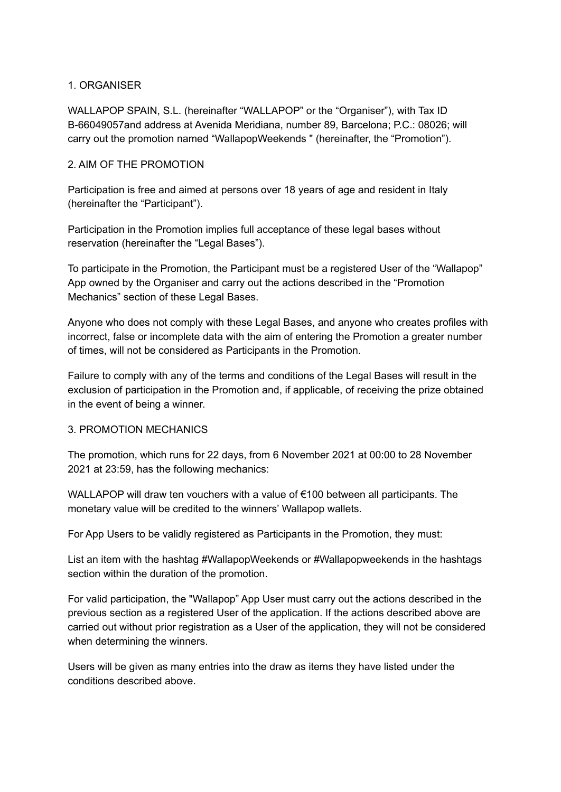## 1. ORGANISER

WALLAPOP SPAIN, S.L. (hereinafter "WALLAPOP" or the "Organiser"), with Tax ID B-66049057and address at Avenida Meridiana, number 89, Barcelona; P.C.: 08026; will carry out the promotion named "WallapopWeekends " (hereinafter, the "Promotion").

## 2. AIM OF THE PROMOTION

Participation is free and aimed at persons over 18 years of age and resident in Italy (hereinafter the "Participant").

Participation in the Promotion implies full acceptance of these legal bases without reservation (hereinafter the "Legal Bases").

To participate in the Promotion, the Participant must be a registered User of the "Wallapop" App owned by the Organiser and carry out the actions described in the "Promotion Mechanics" section of these Legal Bases.

Anyone who does not comply with these Legal Bases, and anyone who creates profiles with incorrect, false or incomplete data with the aim of entering the Promotion a greater number of times, will not be considered as Participants in the Promotion.

Failure to comply with any of the terms and conditions of the Legal Bases will result in the exclusion of participation in the Promotion and, if applicable, of receiving the prize obtained in the event of being a winner.

#### 3. PROMOTION MECHANICS

The promotion, which runs for 22 days, from 6 November 2021 at 00:00 to 28 November 2021 at 23:59, has the following mechanics:

WALLAPOP will draw ten vouchers with a value of €100 between all participants. The monetary value will be credited to the winners' Wallapop wallets.

For App Users to be validly registered as Participants in the Promotion, they must:

List an item with the hashtag #WallapopWeekends or #Wallapopweekends in the hashtags section within the duration of the promotion.

For valid participation, the "Wallapop" App User must carry out the actions described in the previous section as a registered User of the application. If the actions described above are carried out without prior registration as a User of the application, they will not be considered when determining the winners.

Users will be given as many entries into the draw as items they have listed under the conditions described above.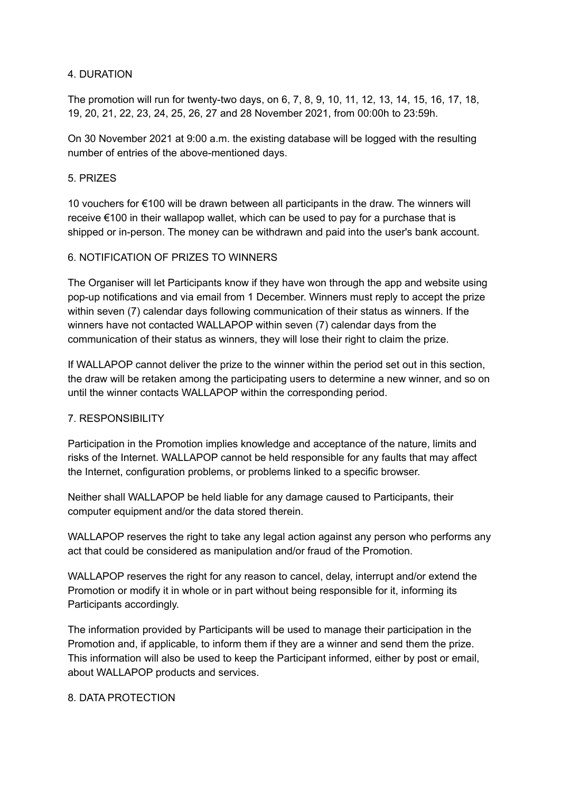## 4. DURATION

The promotion will run for twenty-two days, on 6, 7, 8, 9, 10, 11, 12, 13, 14, 15, 16, 17, 18, 19, 20, 21, 22, 23, 24, 25, 26, 27 and 28 November 2021, from 00:00h to 23:59h.

On 30 November 2021 at 9:00 a.m. the existing database will be logged with the resulting number of entries of the above-mentioned days.

## 5. PRIZES

10 vouchers for €100 will be drawn between all participants in the draw. The winners will receive €100 in their wallapop wallet, which can be used to pay for a purchase that is shipped or in-person. The money can be withdrawn and paid into the user's bank account.

## 6. NOTIFICATION OF PRIZES TO WINNERS

The Organiser will let Participants know if they have won through the app and website using pop-up notifications and via email from 1 December. Winners must reply to accept the prize within seven (7) calendar days following communication of their status as winners. If the winners have not contacted WALLAPOP within seven (7) calendar days from the communication of their status as winners, they will lose their right to claim the prize.

If WALLAPOP cannot deliver the prize to the winner within the period set out in this section, the draw will be retaken among the participating users to determine a new winner, and so on until the winner contacts WALLAPOP within the corresponding period.

# 7. RESPONSIBILITY

Participation in the Promotion implies knowledge and acceptance of the nature, limits and risks of the Internet. WALLAPOP cannot be held responsible for any faults that may affect the Internet, configuration problems, or problems linked to a specific browser.

Neither shall WALLAPOP be held liable for any damage caused to Participants, their computer equipment and/or the data stored therein.

WALLAPOP reserves the right to take any legal action against any person who performs any act that could be considered as manipulation and/or fraud of the Promotion.

WALLAPOP reserves the right for any reason to cancel, delay, interrupt and/or extend the Promotion or modify it in whole or in part without being responsible for it, informing its Participants accordingly.

The information provided by Participants will be used to manage their participation in the Promotion and, if applicable, to inform them if they are a winner and send them the prize. This information will also be used to keep the Participant informed, either by post or email, about WALLAPOP products and services.

#### 8. DATA PROTECTION